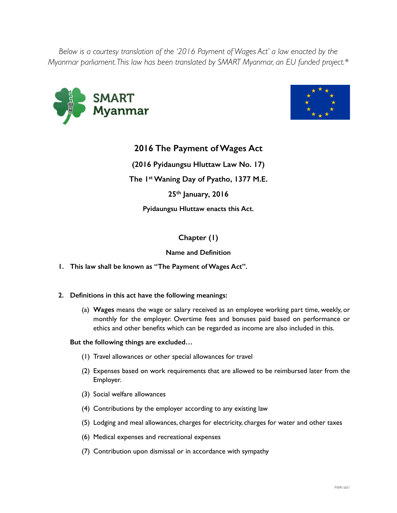*Below is a courtesy translation of the '2016 Payment of Wages Act' a law enacted by the Myanmar parliament. This law has been translated by SMART Myanmar, an EU funded project.\**





# **2016 The Payment of Wages Act**

**(2016 Pyidaungsu Hluttaw Law No. 17)** 

**The 1st Waning Day of Pyatho, 1377 M.E.** 

**25th January, 2016** 

**Pyidaungsu Hluttaw enacts this Act.** 

# **Chapter (1)**

## **Name and Definition**

- **1. This law shall be known as "The Payment of Wages Act".**
- **2. Definitions in this act have the following meanings:**
	- (a) **Wages** means the wage or salary received as an employee working part time, weekly, or monthly for the employer. Overtime fees and bonuses paid based on performance or ethics and other benefits which can be regarded as income are also included in this.

## **But the following things are excluded…**

- (1) Travel allowances or other special allowances for travel
- (2) Expenses based on work requirements that are allowed to be reimbursed later from the Employer.
- (3) Social welfare allowances
- (4) Contributions by the employer according to any existing law
- (5) Lodging and meal allowances, charges for electricity, charges for water and other taxes
- (6) Medical expenses and recreational expenses
- (7) Contribution upon dismissal or in accordance with sympathy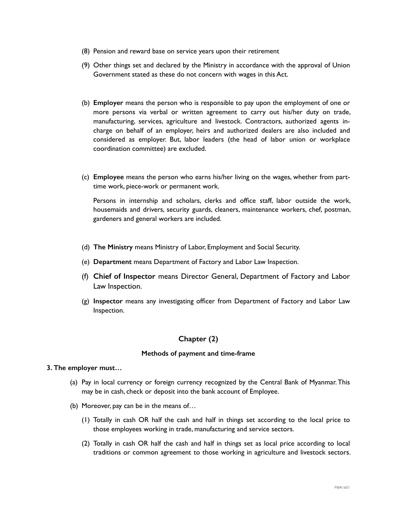- (8) Pension and reward base on service years upon their retirement
- (9) Other things set and declared by the Ministry in accordance with the approval of Union Government stated as these do not concern with wages in this Act.
- (b) **Employer** means the person who is responsible to pay upon the employment of one or more persons via verbal or written agreement to carry out his/her duty on trade, manufacturing, services, agriculture and livestock. Contractors, authorized agents incharge on behalf of an employer, heirs and authorized dealers are also included and considered as employer. But, labor leaders (the head of labor union or workplace coordination committee) are excluded.
- (c) **Employee** means the person who earns his/her living on the wages, whether from parttime work, piece-work or permanent work.

Persons in internship and scholars, clerks and office staff, labor outside the work, housemaids and drivers, security guards, cleaners, maintenance workers, chef, postman, gardeners and general workers are included.

- (d) **The Ministry** means Ministry of Labor, Employment and Social Security.
- (e) **Department** means Department of Factory and Labor Law Inspection.
- (f) **Chief of Inspector** means Director General, Department of Factory and Labor Law Inspection.
- (g) **Inspector** means any investigating officer from Department of Factory and Labor Law Inspection.

## **Chapter (2)**

#### **Methods of payment and time-frame**

#### **3. The employer must…**

- (a) Pay in local currency or foreign currency recognized by the Central Bank of Myanmar. This may be in cash, check or deposit into the bank account of Employee.
- (b) Moreover, pay can be in the means of…
	- (1) Totally in cash OR half the cash and half in things set according to the local price to those employees working in trade, manufacturing and service sectors.
	- (2) Totally in cash OR half the cash and half in things set as local price according to local traditions or common agreement to those working in agriculture and livestock sectors.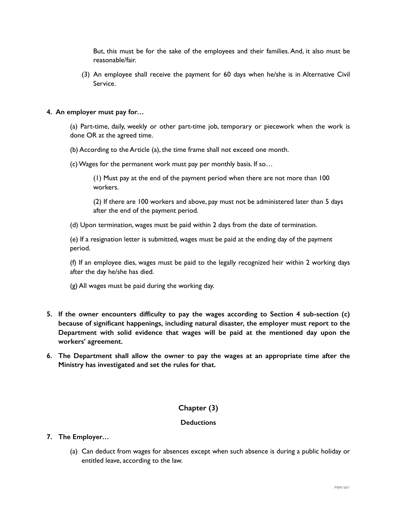But, this must be for the sake of the employees and their families. And, it also must be reasonable/fair.

(3) An employee shall receive the payment for 60 days when he/she is in Alternative Civil Service.

### **4. An employer must pay for…**

(a) Part-time, daily, weekly or other part-time job, temporary or piecework when the work is done OR at the agreed time.

(b) According to the Article (a), the time frame shall not exceed one month.

(c) Wages for the permanent work must pay per monthly basis. If so…

(1) Must pay at the end of the payment period when there are not more than 100 workers.

(2) If there are 100 workers and above, pay must not be administered later than 5 days after the end of the payment period.

(d) Upon termination, wages must be paid within 2 days from the date of termination.

(e) If a resignation letter is submitted, wages must be paid at the ending day of the payment period.

(f) If an employee dies, wages must be paid to the legally recognized heir within 2 working days after the day he/she has died.

(g) All wages must be paid during the working day.

- **5. If the owner encounters difficulty to pay the wages according to Section 4 sub-section (c) because of significant happenings, including natural disaster, the employer must report to the Department with solid evidence that wages will be paid at the mentioned day upon the workers' agreement.**
- **6. The Department shall allow the owner to pay the wages at an appropriate time after the Ministry has investigated and set the rules for that.**

## **Chapter (3)**

### **Deductions**

### **7. The Employer…**

(a) Can deduct from wages for absences except when such absence is during a public holiday or entitled leave, according to the law.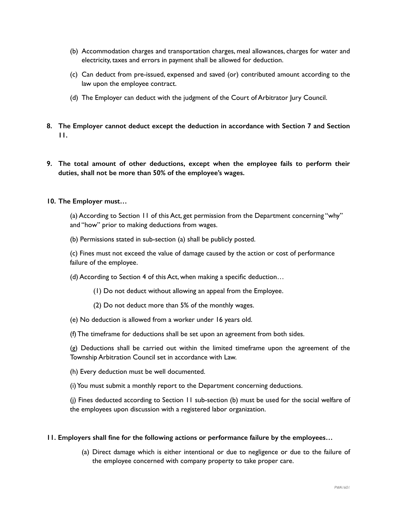- (b) Accommodation charges and transportation charges, meal allowances, charges for water and electricity, taxes and errors in payment shall be allowed for deduction.
- (c) Can deduct from pre-issued, expensed and saved (or) contributed amount according to the law upon the employee contract.
- (d) The Employer can deduct with the judgment of the Court of Arbitrator Jury Council.
- **8. The Employer cannot deduct except the deduction in accordance with Section 7 and Section 11.**
- **9. The total amount of other deductions, except when the employee fails to perform their duties, shall not be more than 50% of the employee's wages.**

#### **10. The Employer must…**

(a) According to Section 11 of this Act, get permission from the Department concerning "why" and "how" prior to making deductions from wages.

(b) Permissions stated in sub-section (a) shall be publicly posted.

(c) Fines must not exceed the value of damage caused by the action or cost of performance failure of the employee.

(d) According to Section 4 of this Act, when making a specific deduction…

(1) Do not deduct without allowing an appeal from the Employee.

- (2) Do not deduct more than 5% of the monthly wages.
- (e) No deduction is allowed from a worker under 16 years old.
- (f) The timeframe for deductions shall be set upon an agreement from both sides.

(g) Deductions shall be carried out within the limited timeframe upon the agreement of the Township Arbitration Council set in accordance with Law.

(h) Every deduction must be well documented.

(i) You must submit a monthly report to the Department concerning deductions.

(j) Fines deducted according to Section 11 sub-section (b) must be used for the social welfare of the employees upon discussion with a registered labor organization.

#### **11. Employers shall fine for the following actions or performance failure by the employees…**

(a) Direct damage which is either intentional or due to negligence or due to the failure of the employee concerned with company property to take proper care.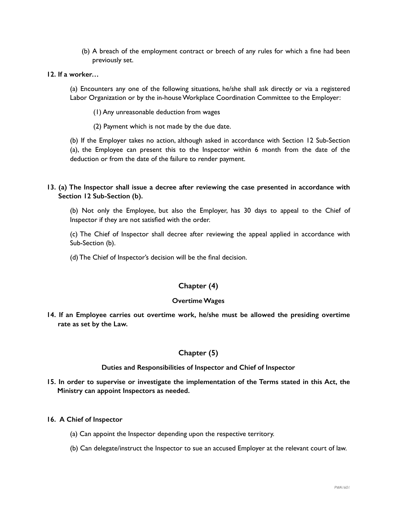(b) A breach of the employment contract or breech of any rules for which a fine had been previously set.

### **12. If a worker…**

(a) Encounters any one of the following situations, he/she shall ask directly or via a registered Labor Organization or by the in-house Workplace Coordination Committee to the Employer:

(1) Any unreasonable deduction from wages

(2) Payment which is not made by the due date.

(b) If the Employer takes no action, although asked in accordance with Section 12 Sub-Section (a), the Employee can present this to the Inspector within 6 month from the date of the deduction or from the date of the failure to render payment.

**13. (a) The Inspector shall issue a decree after reviewing the case presented in accordance with Section 12 Sub-Section (b).** 

(b) Not only the Employee, but also the Employer, has 30 days to appeal to the Chief of Inspector if they are not satisfied with the order.

(c) The Chief of Inspector shall decree after reviewing the appeal applied in accordance with Sub-Section (b).

(d) The Chief of Inspector's decision will be the final decision.

## **Chapter (4)**

#### **Overtime Wages**

**14. If an Employee carries out overtime work, he/she must be allowed the presiding overtime rate as set by the Law.** 

## **Chapter (5)**

### **Duties and Responsibilities of Inspector and Chief of Inspector**

**15. In order to supervise or investigate the implementation of the Terms stated in this Act, the Ministry can appoint Inspectors as needed.** 

#### **16. A Chief of Inspector**

- (a) Can appoint the Inspector depending upon the respective territory.
- (b) Can delegate/instruct the Inspector to sue an accused Employer at the relevant court of law.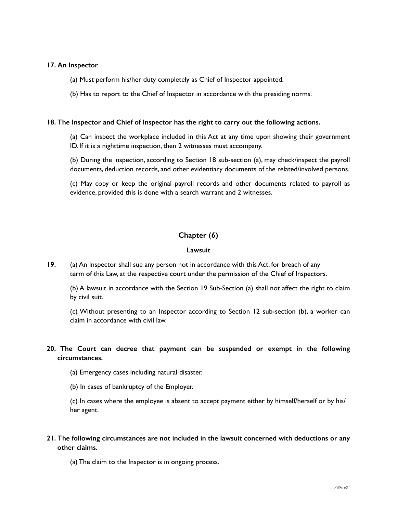#### **17. An Inspector**

(a) Must perform his/her duty completely as Chief of Inspector appointed.

(b) Has to report to the Chief of Inspector in accordance with the presiding norms.

#### **18. The Inspector and Chief of Inspector has the right to carry out the following actions.**

(a) Can inspect the workplace included in this Act at any time upon showing their government ID. If it is a nighttime inspection, then 2 witnesses must accompany.

(b) During the inspection, according to Section 18 sub-section (a), may check/inspect the payroll documents, deduction records, and other evidentiary documents of the related/involved persons.

(c) May copy or keep the original payroll records and other documents related to payroll as evidence, provided this is done with a search warrant and 2 witnesses.

## **Chapter (6)**

### **Lawsuit**

**19.** (a) An Inspector shall sue any person not in accordance with this Act, for breach of any term of this Law, at the respective court under the permission of the Chief of Inspectors.

(b) A lawsuit in accordance with the Section 19 Sub-Section (a) shall not affect the right to claim by civil suit.

(c) Without presenting to an Inspector according to Section 12 sub-section (b), a worker can claim in accordance with civil law.

## **20. The Court can decree that payment can be suspended or exempt in the following circumstances.**

(a) Emergency cases including natural disaster.

(b) In cases of bankruptcy of the Employer.

(c) In cases where the employee is absent to accept payment either by himself/herself or by his/ her agent.

**21. The following circumstances are not included in the lawsuit concerned with deductions or any other claims.** 

(a) The claim to the Inspector is in ongoing process.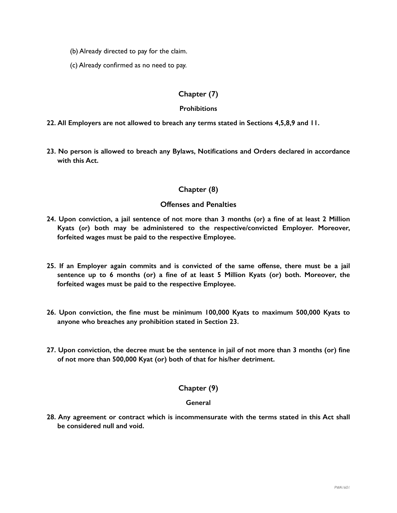(b) Already directed to pay for the claim.

(c) Already confirmed as no need to pay.

## **Chapter (7)**

### **Prohibitions**

- **22. All Employers are not allowed to breach any terms stated in Sections 4,5,8,9 and 11.**
- **23. No person is allowed to breach any Bylaws, Notifications and Orders declared in accordance with this Act.**

## **Chapter (8)**

## **Offenses and Penalties**

- **24. Upon conviction, a jail sentence of not more than 3 months (***or***) a fine of at least 2 Million Kyats (***or***) both may be administered to the respective/convicted Employer. Moreover, forfeited wages must be paid to the respective Employee.**
- **25. If an Employer again commits and is convicted of the same offense, there must be a jail sentence up to 6 months (or) a fine of at least 5 Million Kyats (or) both. Moreover, the forfeited wages must be paid to the respective Employee.**
- **26. Upon conviction, the fine must be minimum 100,000 Kyats to maximum 500,000 Kyats to anyone who breaches any prohibition stated in Section 23.**
- **27. Upon conviction, the decree must be the sentence in jail of not more than 3 months (or) fine of not more than 500,000 Kyat (or) both of that for his/her detriment.**

### **Chapter (9)**

### **General**

**28. Any agreement or contract which is incommensurate with the terms stated in this Act shall be considered null and void.**